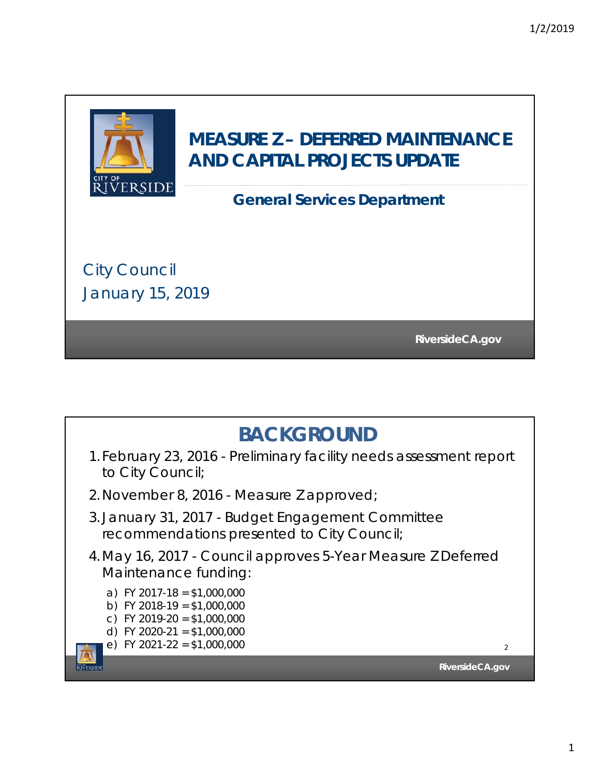

## **MEASURE Z – DEFERRED MAINTENANCE AND CAPITAL PROJECTS UPDATE**

## **General Services Department**

City Council January 15, 2019

**RiversideCA.gov RiversideCA.gov**

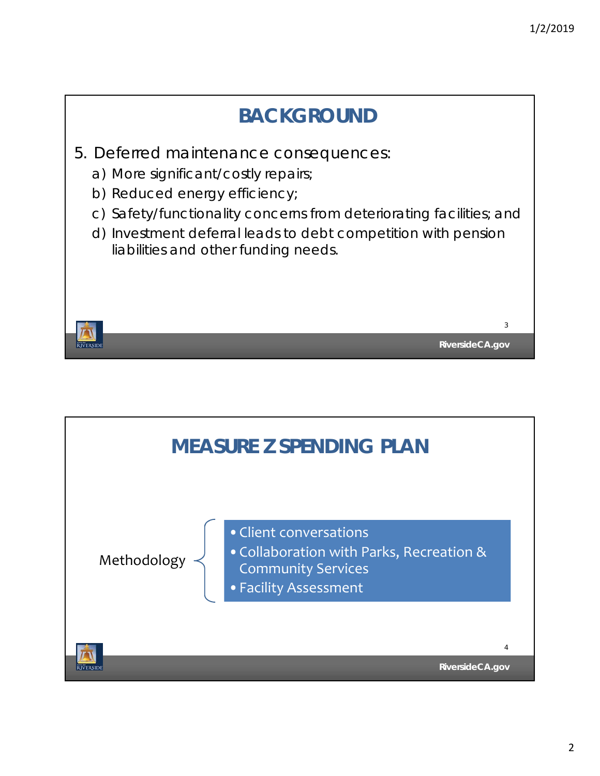

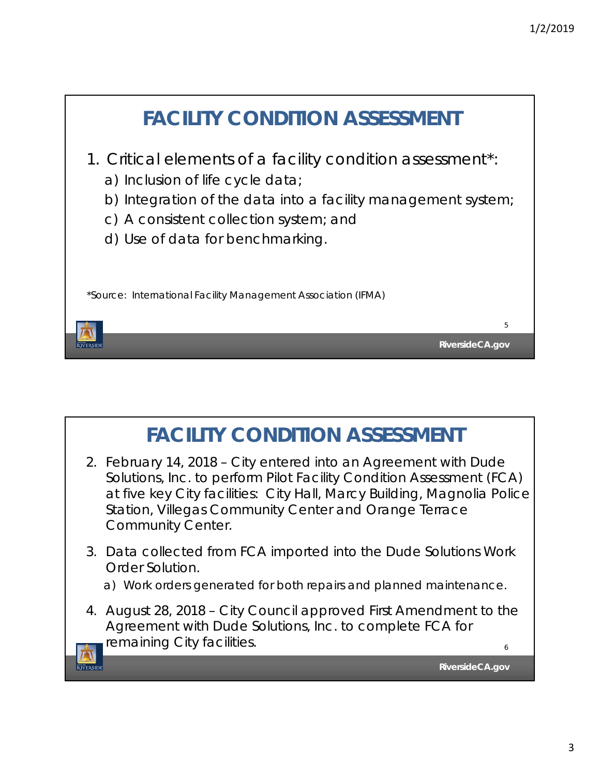

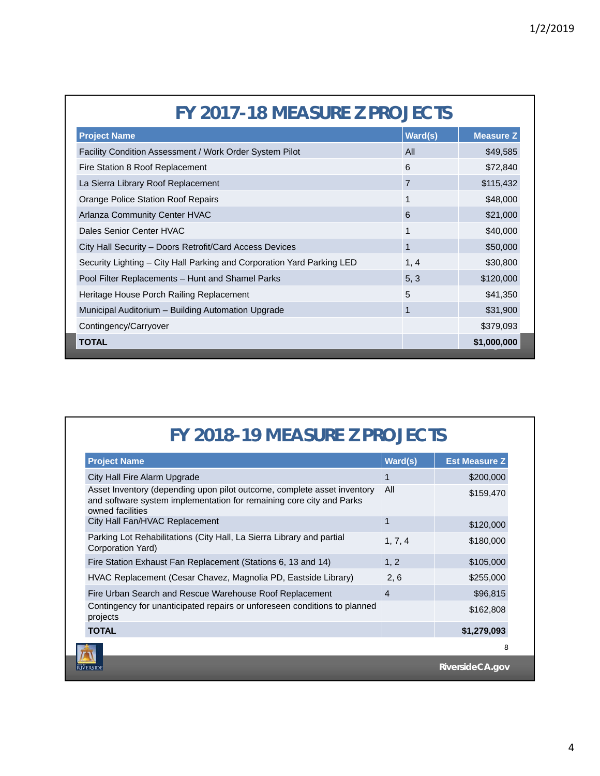| FY 2017-18 MEASURE Z PROJECTS                                          |                |                  |  |
|------------------------------------------------------------------------|----------------|------------------|--|
| <b>Project Name</b>                                                    | Ward(s)        | <b>Measure Z</b> |  |
| Facility Condition Assessment / Work Order System Pilot                | All            | \$49,585         |  |
| Fire Station 8 Roof Replacement                                        | 6              | \$72,840         |  |
| La Sierra Library Roof Replacement                                     | $\overline{7}$ | \$115,432        |  |
| Orange Police Station Roof Repairs                                     | 1              | \$48,000         |  |
| Arlanza Community Center HVAC                                          | 6              | \$21,000         |  |
| Dales Senior Center HVAC                                               | $\mathbf{1}$   | \$40,000         |  |
| City Hall Security - Doors Retrofit/Card Access Devices                | 1              | \$50,000         |  |
| Security Lighting - City Hall Parking and Corporation Yard Parking LED | 1, 4           | \$30,800         |  |
| Pool Filter Replacements - Hunt and Shamel Parks                       | 5, 3           | \$120,000        |  |
| Heritage House Porch Railing Replacement                               | 5              | \$41,350         |  |
| Municipal Auditorium – Building Automation Upgrade                     | $\mathbf{1}$   | \$31,900         |  |
| Contingency/Carryover                                                  |                | \$379,093        |  |
| <b>TOTAL</b>                                                           |                | \$1,000,000      |  |

## **FY 2018-19 MEASURE Z PROJECTS**

| <b>Project Name</b>                                                                                                                                                 | Ward(s)        | <b>Est Measure Z</b> |
|---------------------------------------------------------------------------------------------------------------------------------------------------------------------|----------------|----------------------|
| City Hall Fire Alarm Upgrade                                                                                                                                        | 1              | \$200,000            |
| Asset Inventory (depending upon pilot outcome, complete asset inventory<br>and software system implementation for remaining core city and Parks<br>owned facilities | All            | \$159,470            |
| City Hall Fan/HVAC Replacement                                                                                                                                      | 1              | \$120,000            |
| Parking Lot Rehabilitations (City Hall, La Sierra Library and partial<br>Corporation Yard)                                                                          | 1, 7, 4        | \$180,000            |
| Fire Station Exhaust Fan Replacement (Stations 6, 13 and 14)                                                                                                        | 1, 2           | \$105,000            |
| HVAC Replacement (Cesar Chavez, Magnolia PD, Eastside Library)                                                                                                      | 2, 6           | \$255,000            |
| Fire Urban Search and Rescue Warehouse Roof Replacement                                                                                                             | $\overline{4}$ | \$96,815             |
| Contingency for unanticipated repairs or unforeseen conditions to planned<br>projects                                                                               |                | \$162,808            |
| <b>TOTAL</b>                                                                                                                                                        |                | \$1,279,093          |
|                                                                                                                                                                     |                | 8                    |
| <b><i><u>ÜVERSIDE</u></i></b>                                                                                                                                       |                | RiversideCA.gov      |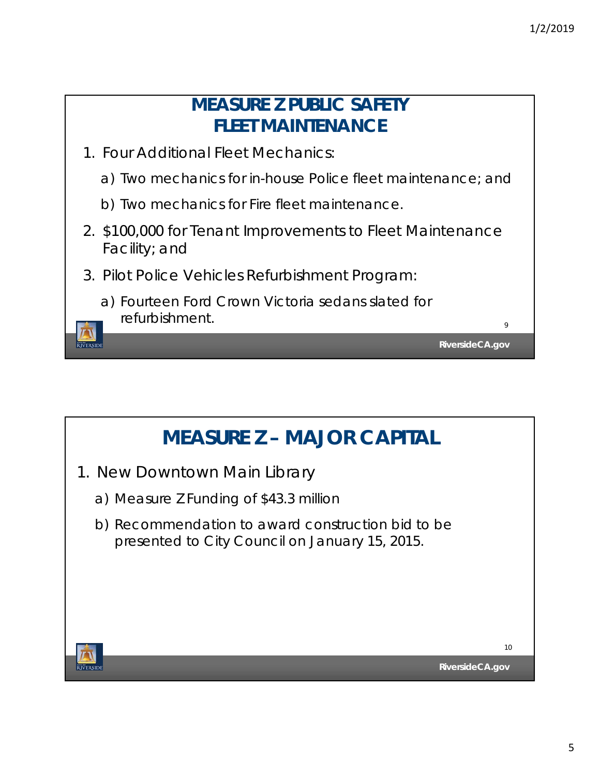

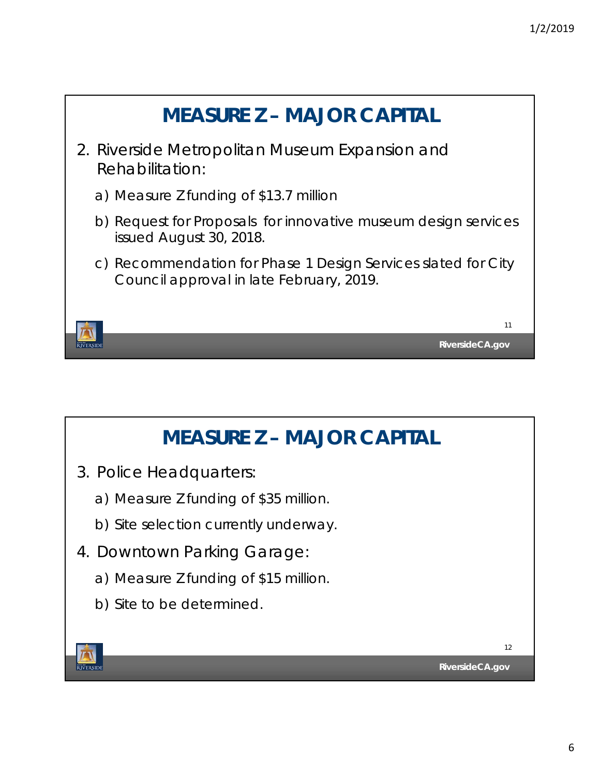